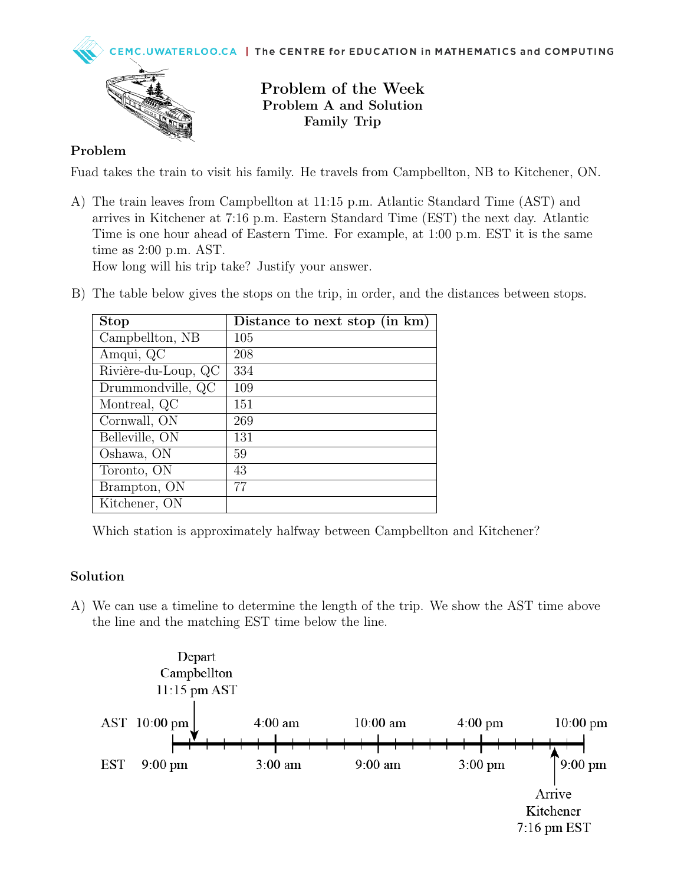



Problem of the Week Problem A and Solution Family Trip

## Problem

Fuad takes the train to visit his family. He travels from Campbellton, NB to Kitchener, ON.

A) The train leaves from Campbellton at 11:15 p.m. Atlantic Standard Time (AST) and arrives in Kitchener at 7:16 p.m. Eastern Standard Time (EST) the next day. Atlantic Time is one hour ahead of Eastern Time. For example, at 1:00 p.m. EST it is the same time as 2:00 p.m. AST.

How long will his trip take? Justify your answer.

B) The table below gives the stops on the trip, in order, and the distances between stops.

| <b>Stop</b>         | Distance to next stop (in km) |
|---------------------|-------------------------------|
| Campbellton, NB     | 105                           |
| Amqui, QC           | 208                           |
| Rivière-du-Loup, QC | 334                           |
| Drummondville, QC   | 109                           |
| Montreal, QC        | 151                           |
| Cornwall, ON        | 269                           |
| Belleville, ON      | 131                           |
| Oshawa, ON          | 59                            |
| Toronto, ON         | 43                            |
| Brampton, ON        | 77                            |
| Kitchener, ON       |                               |

Which station is approximately halfway between Campbellton and Kitchener?

## Solution

A) We can use a timeline to determine the length of the trip. We show the AST time above the line and the matching EST time below the line.

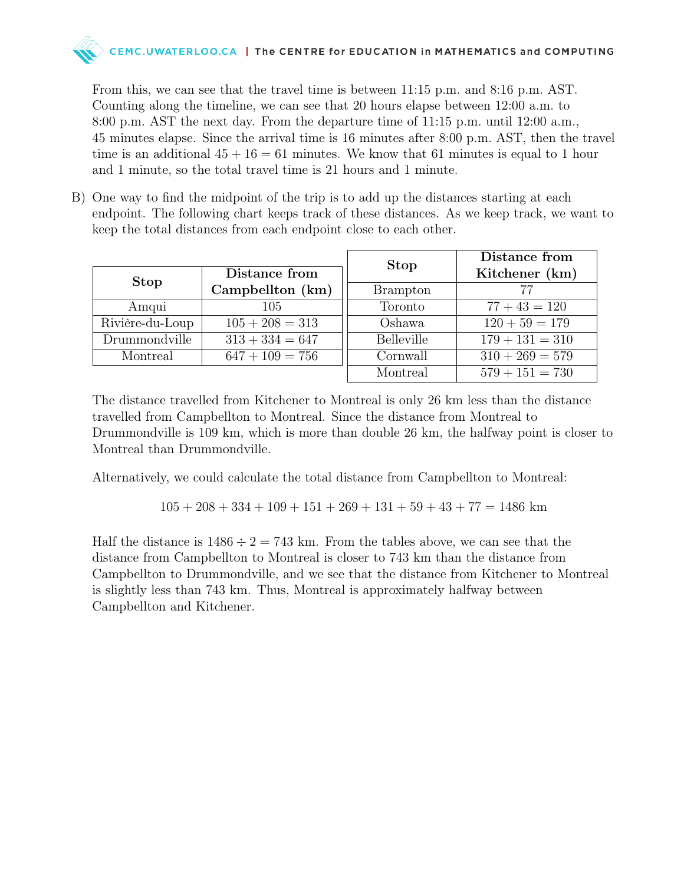

From this, we can see that the travel time is between 11:15 p.m. and 8:16 p.m. AST. Counting along the timeline, we can see that 20 hours elapse between 12:00 a.m. to 8:00 p.m. AST the next day. From the departure time of 11:15 p.m. until 12:00 a.m., 45 minutes elapse. Since the arrival time is 16 minutes after 8:00 p.m. AST, then the travel time is an additional  $45 + 16 = 61$  minutes. We know that 61 minutes is equal to 1 hour and 1 minute, so the total travel time is 21 hours and 1 minute.

B) One way to find the midpoint of the trip is to add up the distances starting at each endpoint. The following chart keeps track of these distances. As we keep track, we want to keep the total distances from each endpoint close to each other.

| Distance from   |                   | <b>Stop</b>       | Distance from<br>Kitchener (km) |
|-----------------|-------------------|-------------------|---------------------------------|
| <b>Stop</b>     | Campbellton (km)  | <b>Brampton</b>   | 77                              |
| Amqui           | 105               | Toronto           | $77 + 43 = 120$                 |
| Rivière-du-Loup | $105 + 208 = 313$ | Oshawa            | $120 + 59 = 179$                |
| Drummondville   | $313 + 334 = 647$ | <b>Belleville</b> | $179 + 131 = 310$               |
| Montreal        | $647 + 109 = 756$ | Cornwall          | $310 + 269 = 579$               |
|                 |                   | Montreal          | $579 + 151 = 730$               |

The distance travelled from Kitchener to Montreal is only 26 km less than the distance travelled from Campbellton to Montreal. Since the distance from Montreal to Drummondville is 109 km, which is more than double 26 km, the halfway point is closer to Montreal than Drummondville.

Alternatively, we could calculate the total distance from Campbellton to Montreal:

 $105 + 208 + 334 + 109 + 151 + 269 + 131 + 59 + 43 + 77 = 1486$  km

Half the distance is  $1486 \div 2 = 743$  km. From the tables above, we can see that the distance from Campbellton to Montreal is closer to 743 km than the distance from Campbellton to Drummondville, and we see that the distance from Kitchener to Montreal is slightly less than 743 km. Thus, Montreal is approximately halfway between Campbellton and Kitchener.